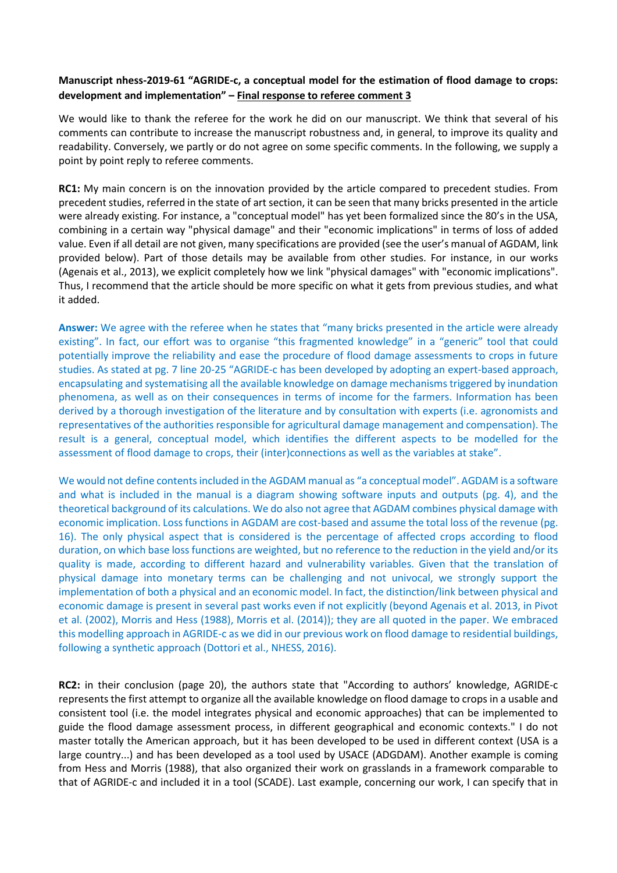## **Manuscript nhess-2019-61 "AGRIDE-c, a conceptual model for the estimation of flood damage to crops: development and implementation" – Final response to referee comment 3**

We would like to thank the referee for the work he did on our manuscript. We think that several of his comments can contribute to increase the manuscript robustness and, in general, to improve its quality and readability. Conversely, we partly or do not agree on some specific comments. In the following, we supply a point by point reply to referee comments.

**RC1:** My main concern is on the innovation provided by the article compared to precedent studies. From precedent studies, referred in the state of art section, it can be seen that many bricks presented in the article were already existing. For instance, a "conceptual model" has yet been formalized since the 80's in the USA, combining in a certain way "physical damage" and their "economic implications" in terms of loss of added value. Even if all detail are not given, many specifications are provided (see the user's manual of AGDAM, link provided below). Part of those details may be available from other studies. For instance, in our works (Agenais et al., 2013), we explicit completely how we link "physical damages" with "economic implications". Thus, I recommend that the article should be more specific on what it gets from previous studies, and what it added.

**Answer:** We agree with the referee when he states that "many bricks presented in the article were already existing". In fact, our effort was to organise "this fragmented knowledge" in a "generic" tool that could potentially improve the reliability and ease the procedure of flood damage assessments to crops in future studies. As stated at pg. 7 line 20-25 "AGRIDE-c has been developed by adopting an expert-based approach, encapsulating and systematising all the available knowledge on damage mechanisms triggered by inundation phenomena, as well as on their consequences in terms of income for the farmers. Information has been derived by a thorough investigation of the literature and by consultation with experts (i.e. agronomists and representatives of the authorities responsible for agricultural damage management and compensation). The result is a general, conceptual model, which identifies the different aspects to be modelled for the assessment of flood damage to crops, their (inter)connections as well as the variables at stake".

We would not define contents included in the AGDAM manual as "a conceptual model". AGDAM is a software and what is included in the manual is a diagram showing software inputs and outputs (pg. 4), and the theoretical background of its calculations. We do also not agree that AGDAM combines physical damage with economic implication. Loss functions in AGDAM are cost-based and assume the total loss of the revenue (pg. 16). The only physical aspect that is considered is the percentage of affected crops according to flood duration, on which base loss functions are weighted, but no reference to the reduction in the yield and/or its quality is made, according to different hazard and vulnerability variables. Given that the translation of physical damage into monetary terms can be challenging and not univocal, we strongly support the implementation of both a physical and an economic model. In fact, the distinction/link between physical and economic damage is present in several past works even if not explicitly (beyond Agenais et al. 2013, in Pivot et al. (2002), Morris and Hess (1988), Morris et al. (2014)); they are all quoted in the paper. We embraced this modelling approach in AGRIDE-c as we did in our previous work on flood damage to residential buildings, following a synthetic approach (Dottori et al., NHESS, 2016).

**RC2:** in their conclusion (page 20), the authors state that "According to authors' knowledge, AGRIDE-c represents the first attempt to organize all the available knowledge on flood damage to crops in a usable and consistent tool (i.e. the model integrates physical and economic approaches) that can be implemented to guide the flood damage assessment process, in different geographical and economic contexts." I do not master totally the American approach, but it has been developed to be used in different context (USA is a large country...) and has been developed as a tool used by USACE (ADGDAM). Another example is coming from Hess and Morris (1988), that also organized their work on grasslands in a framework comparable to that of AGRIDE-c and included it in a tool (SCADE). Last example, concerning our work, I can specify that in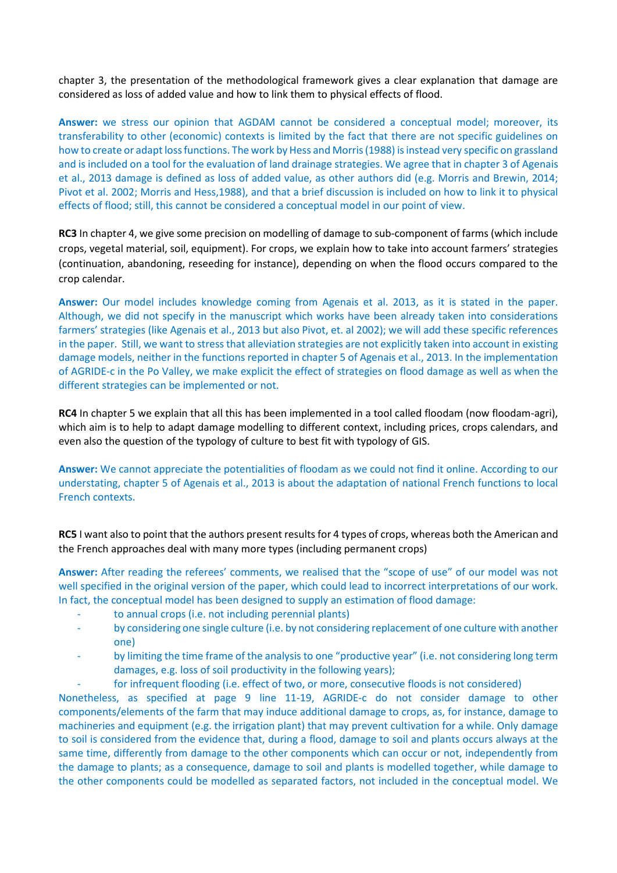chapter 3, the presentation of the methodological framework gives a clear explanation that damage are considered as loss of added value and how to link them to physical effects of flood.

**Answer:** we stress our opinion that AGDAM cannot be considered a conceptual model; moreover, its transferability to other (economic) contexts is limited by the fact that there are not specific guidelines on how to create or adapt loss functions. The work by Hess and Morris (1988) is instead very specific on grassland and is included on a tool for the evaluation of land drainage strategies. We agree that in chapter 3 of Agenais et al., 2013 damage is defined as loss of added value, as other authors did (e.g. Morris and Brewin, 2014; Pivot et al. 2002; Morris and Hess,1988), and that a brief discussion is included on how to link it to physical effects of flood; still, this cannot be considered a conceptual model in our point of view.

**RC3** In chapter 4, we give some precision on modelling of damage to sub-component of farms (which include crops, vegetal material, soil, equipment). For crops, we explain how to take into account farmers' strategies (continuation, abandoning, reseeding for instance), depending on when the flood occurs compared to the crop calendar.

**Answer:** Our model includes knowledge coming from Agenais et al. 2013, as it is stated in the paper. Although, we did not specify in the manuscript which works have been already taken into considerations farmers' strategies (like Agenais et al., 2013 but also Pivot, et. al 2002); we will add these specific references in the paper. Still, we want to stress that alleviation strategies are not explicitly taken into account in existing damage models, neither in the functions reported in chapter 5 of Agenais et al., 2013. In the implementation of AGRIDE-c in the Po Valley, we make explicit the effect of strategies on flood damage as well as when the different strategies can be implemented or not.

**RC4** In chapter 5 we explain that all this has been implemented in a tool called floodam (now floodam-agri), which aim is to help to adapt damage modelling to different context, including prices, crops calendars, and even also the question of the typology of culture to best fit with typology of GIS.

**Answer:** We cannot appreciate the potentialities of floodam as we could not find it online. According to our understating, chapter 5 of Agenais et al., 2013 is about the adaptation of national French functions to local French contexts.

**RC5** I want also to point that the authors present results for 4 types of crops, whereas both the American and the French approaches deal with many more types (including permanent crops)

**Answer:** After reading the referees' comments, we realised that the "scope of use" of our model was not well specified in the original version of the paper, which could lead to incorrect interpretations of our work. In fact, the conceptual model has been designed to supply an estimation of flood damage:

- to annual crops (i.e. not including perennial plants)
- by considering one single culture (i.e. by not considering replacement of one culture with another one)
- by limiting the time frame of the analysis to one "productive year" (i.e. not considering long term damages, e.g. loss of soil productivity in the following years);
- for infrequent flooding (i.e. effect of two, or more, consecutive floods is not considered)

Nonetheless, as specified at page 9 line 11-19, AGRIDE-c do not consider damage to other components/elements of the farm that may induce additional damage to crops, as, for instance, damage to machineries and equipment (e.g. the irrigation plant) that may prevent cultivation for a while. Only damage to soil is considered from the evidence that, during a flood, damage to soil and plants occurs always at the same time, differently from damage to the other components which can occur or not, independently from the damage to plants; as a consequence, damage to soil and plants is modelled together, while damage to the other components could be modelled as separated factors, not included in the conceptual model. We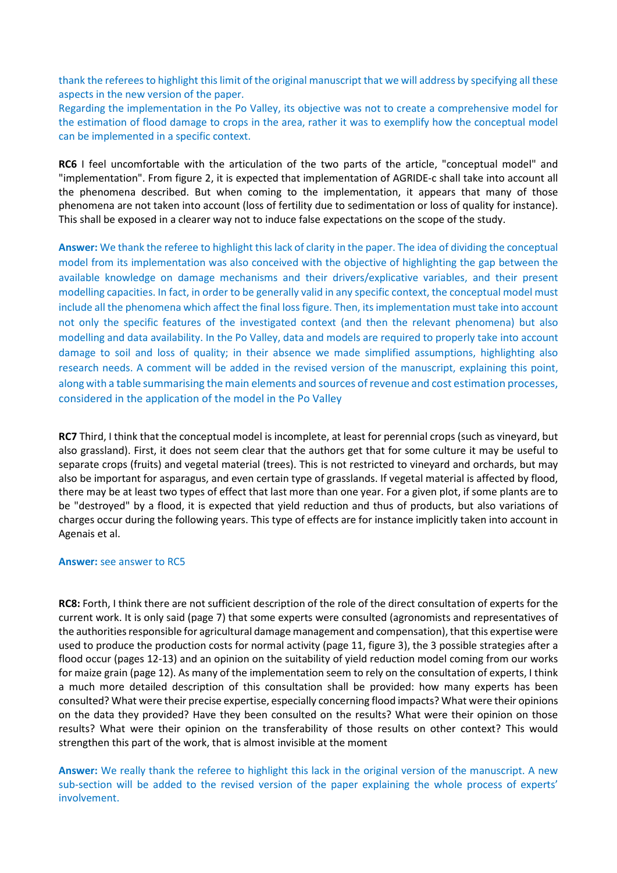thank the referees to highlight this limit of the original manuscript that we will address by specifying all these aspects in the new version of the paper.

Regarding the implementation in the Po Valley, its objective was not to create a comprehensive model for the estimation of flood damage to crops in the area, rather it was to exemplify how the conceptual model can be implemented in a specific context.

**RC6** I feel uncomfortable with the articulation of the two parts of the article, "conceptual model" and "implementation". From figure 2, it is expected that implementation of AGRIDE-c shall take into account all the phenomena described. But when coming to the implementation, it appears that many of those phenomena are not taken into account (loss of fertility due to sedimentation or loss of quality for instance). This shall be exposed in a clearer way not to induce false expectations on the scope of the study.

**Answer:** We thank the referee to highlight this lack of clarity in the paper. The idea of dividing the conceptual model from its implementation was also conceived with the objective of highlighting the gap between the available knowledge on damage mechanisms and their drivers/explicative variables, and their present modelling capacities. In fact, in order to be generally valid in any specific context, the conceptual model must include all the phenomena which affect the final loss figure. Then, its implementation must take into account not only the specific features of the investigated context (and then the relevant phenomena) but also modelling and data availability. In the Po Valley, data and models are required to properly take into account damage to soil and loss of quality; in their absence we made simplified assumptions, highlighting also research needs. A comment will be added in the revised version of the manuscript, explaining this point, along with a table summarising the main elements and sources of revenue and cost estimation processes, considered in the application of the model in the Po Valley

**RC7** Third, I think that the conceptual model is incomplete, at least for perennial crops (such as vineyard, but also grassland). First, it does not seem clear that the authors get that for some culture it may be useful to separate crops (fruits) and vegetal material (trees). This is not restricted to vineyard and orchards, but may also be important for asparagus, and even certain type of grasslands. If vegetal material is affected by flood, there may be at least two types of effect that last more than one year. For a given plot, if some plants are to be "destroyed" by a flood, it is expected that yield reduction and thus of products, but also variations of charges occur during the following years. This type of effects are for instance implicitly taken into account in Agenais et al.

## **Answer:** see answer to RC5

**RC8:** Forth, I think there are not sufficient description of the role of the direct consultation of experts for the current work. It is only said (page 7) that some experts were consulted (agronomists and representatives of the authorities responsible for agricultural damage management and compensation), that this expertise were used to produce the production costs for normal activity (page 11, figure 3), the 3 possible strategies after a flood occur (pages 12-13) and an opinion on the suitability of yield reduction model coming from our works for maize grain (page 12). As many of the implementation seem to rely on the consultation of experts, I think a much more detailed description of this consultation shall be provided: how many experts has been consulted? What were their precise expertise, especially concerning flood impacts? What were their opinions on the data they provided? Have they been consulted on the results? What were their opinion on those results? What were their opinion on the transferability of those results on other context? This would strengthen this part of the work, that is almost invisible at the moment

**Answer:** We really thank the referee to highlight this lack in the original version of the manuscript. A new sub-section will be added to the revised version of the paper explaining the whole process of experts' involvement.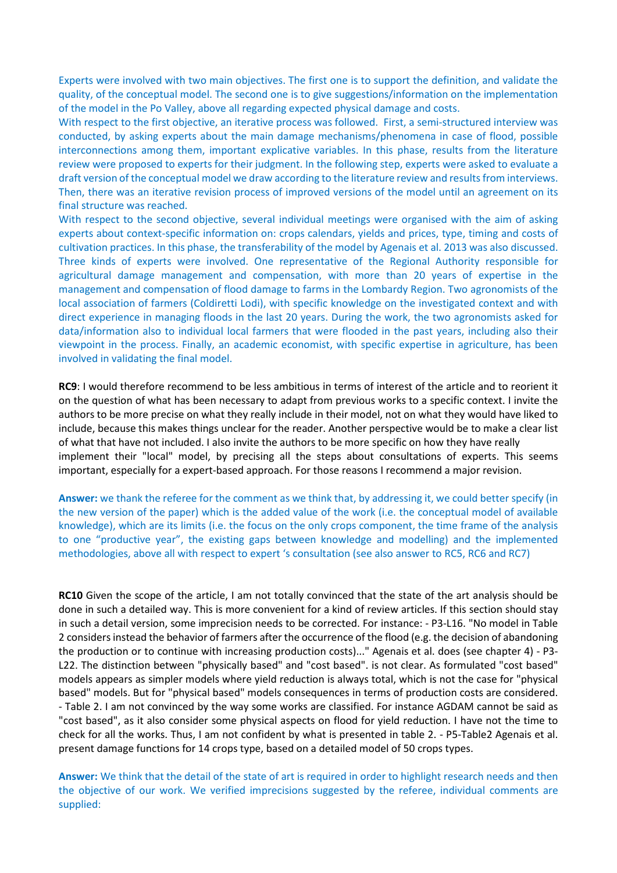Experts were involved with two main objectives. The first one is to support the definition, and validate the quality, of the conceptual model. The second one is to give suggestions/information on the implementation of the model in the Po Valley, above all regarding expected physical damage and costs.

With respect to the first objective, an iterative process was followed. First, a semi-structured interview was conducted, by asking experts about the main damage mechanisms/phenomena in case of flood, possible interconnections among them, important explicative variables. In this phase, results from the literature review were proposed to experts for their judgment. In the following step, experts were asked to evaluate a draft version of the conceptual model we draw according to the literature review and results from interviews. Then, there was an iterative revision process of improved versions of the model until an agreement on its final structure was reached.

With respect to the second objective, several individual meetings were organised with the aim of asking experts about context-specific information on: crops calendars, yields and prices, type, timing and costs of cultivation practices. In this phase, the transferability of the model by Agenais et al. 2013 was also discussed. Three kinds of experts were involved. One representative of the Regional Authority responsible for agricultural damage management and compensation, with more than 20 years of expertise in the management and compensation of flood damage to farms in the Lombardy Region. Two agronomists of the local association of farmers (Coldiretti Lodi), with specific knowledge on the investigated context and with direct experience in managing floods in the last 20 years. During the work, the two agronomists asked for data/information also to individual local farmers that were flooded in the past years, including also their viewpoint in the process. Finally, an academic economist, with specific expertise in agriculture, has been involved in validating the final model.

**RC9**: I would therefore recommend to be less ambitious in terms of interest of the article and to reorient it on the question of what has been necessary to adapt from previous works to a specific context. I invite the authors to be more precise on what they really include in their model, not on what they would have liked to include, because this makes things unclear for the reader. Another perspective would be to make a clear list of what that have not included. I also invite the authors to be more specific on how they have really implement their "local" model, by precising all the steps about consultations of experts. This seems important, especially for a expert-based approach. For those reasons I recommend a major revision.

**Answer:** we thank the referee for the comment as we think that, by addressing it, we could better specify (in the new version of the paper) which is the added value of the work (i.e. the conceptual model of available knowledge), which are its limits (i.e. the focus on the only crops component, the time frame of the analysis to one "productive year", the existing gaps between knowledge and modelling) and the implemented methodologies, above all with respect to expert 's consultation (see also answer to RC5, RC6 and RC7)

**RC10** Given the scope of the article, I am not totally convinced that the state of the art analysis should be done in such a detailed way. This is more convenient for a kind of review articles. If this section should stay in such a detail version, some imprecision needs to be corrected. For instance: - P3-L16. "No model in Table 2 considers instead the behavior of farmers after the occurrence of the flood (e.g. the decision of abandoning the production or to continue with increasing production costs)..." Agenais et al. does (see chapter 4) - P3- L22. The distinction between "physically based" and "cost based". is not clear. As formulated "cost based" models appears as simpler models where yield reduction is always total, which is not the case for "physical based" models. But for "physical based" models consequences in terms of production costs are considered. - Table 2. I am not convinced by the way some works are classified. For instance AGDAM cannot be said as "cost based", as it also consider some physical aspects on flood for yield reduction. I have not the time to check for all the works. Thus, I am not confident by what is presented in table 2. - P5-Table2 Agenais et al. present damage functions for 14 crops type, based on a detailed model of 50 crops types.

**Answer:** We think that the detail of the state of art is required in order to highlight research needs and then the objective of our work. We verified imprecisions suggested by the referee, individual comments are supplied: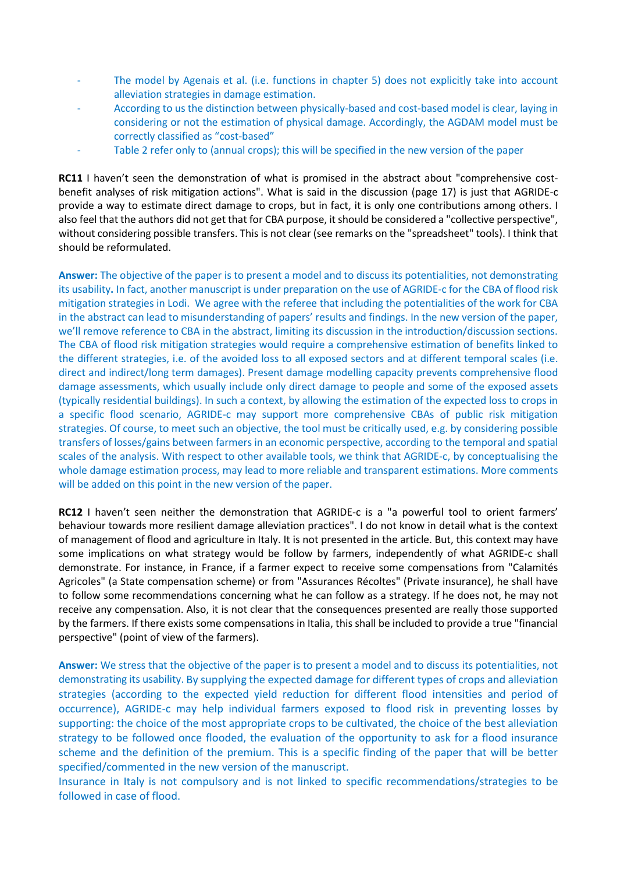- The model by Agenais et al. (i.e. functions in chapter 5) does not explicitly take into account alleviation strategies in damage estimation.
- According to us the distinction between physically-based and cost-based model is clear, laying in considering or not the estimation of physical damage. Accordingly, the AGDAM model must be correctly classified as "cost-based"
- Table 2 refer only to (annual crops); this will be specified in the new version of the paper

**RC11** I haven't seen the demonstration of what is promised in the abstract about "comprehensive costbenefit analyses of risk mitigation actions". What is said in the discussion (page 17) is just that AGRIDE-c provide a way to estimate direct damage to crops, but in fact, it is only one contributions among others. I also feel that the authors did not get that for CBA purpose, it should be considered a "collective perspective", without considering possible transfers. This is not clear (see remarks on the "spreadsheet" tools). I think that should be reformulated.

**Answer:** The objective of the paper is to present a model and to discuss its potentialities, not demonstrating its usability**.** In fact, another manuscript is under preparation on the use of AGRIDE-c for the CBA of flood risk mitigation strategies in Lodi. We agree with the referee that including the potentialities of the work for CBA in the abstract can lead to misunderstanding of papers' results and findings. In the new version of the paper, we'll remove reference to CBA in the abstract, limiting its discussion in the introduction/discussion sections. The CBA of flood risk mitigation strategies would require a comprehensive estimation of benefits linked to the different strategies, i.e. of the avoided loss to all exposed sectors and at different temporal scales (i.e. direct and indirect/long term damages). Present damage modelling capacity prevents comprehensive flood damage assessments, which usually include only direct damage to people and some of the exposed assets (typically residential buildings). In such a context, by allowing the estimation of the expected loss to crops in a specific flood scenario, AGRIDE-c may support more comprehensive CBAs of public risk mitigation strategies. Of course, to meet such an objective, the tool must be critically used, e.g. by considering possible transfers of losses/gains between farmers in an economic perspective, according to the temporal and spatial scales of the analysis. With respect to other available tools, we think that AGRIDE-c, by conceptualising the whole damage estimation process, may lead to more reliable and transparent estimations. More comments will be added on this point in the new version of the paper.

**RC12** I haven't seen neither the demonstration that AGRIDE-c is a "a powerful tool to orient farmers' behaviour towards more resilient damage alleviation practices". I do not know in detail what is the context of management of flood and agriculture in Italy. It is not presented in the article. But, this context may have some implications on what strategy would be follow by farmers, independently of what AGRIDE-c shall demonstrate. For instance, in France, if a farmer expect to receive some compensations from "Calamités Agricoles" (a State compensation scheme) or from "Assurances Récoltes" (Private insurance), he shall have to follow some recommendations concerning what he can follow as a strategy. If he does not, he may not receive any compensation. Also, it is not clear that the consequences presented are really those supported by the farmers. If there exists some compensations in Italia, this shall be included to provide a true "financial perspective" (point of view of the farmers).

**Answer:** We stress that the objective of the paper is to present a model and to discuss its potentialities, not demonstrating its usability. By supplying the expected damage for different types of crops and alleviation strategies (according to the expected yield reduction for different flood intensities and period of occurrence), AGRIDE-c may help individual farmers exposed to flood risk in preventing losses by supporting: the choice of the most appropriate crops to be cultivated, the choice of the best alleviation strategy to be followed once flooded, the evaluation of the opportunity to ask for a flood insurance scheme and the definition of the premium. This is a specific finding of the paper that will be better specified/commented in the new version of the manuscript.

Insurance in Italy is not compulsory and is not linked to specific recommendations/strategies to be followed in case of flood.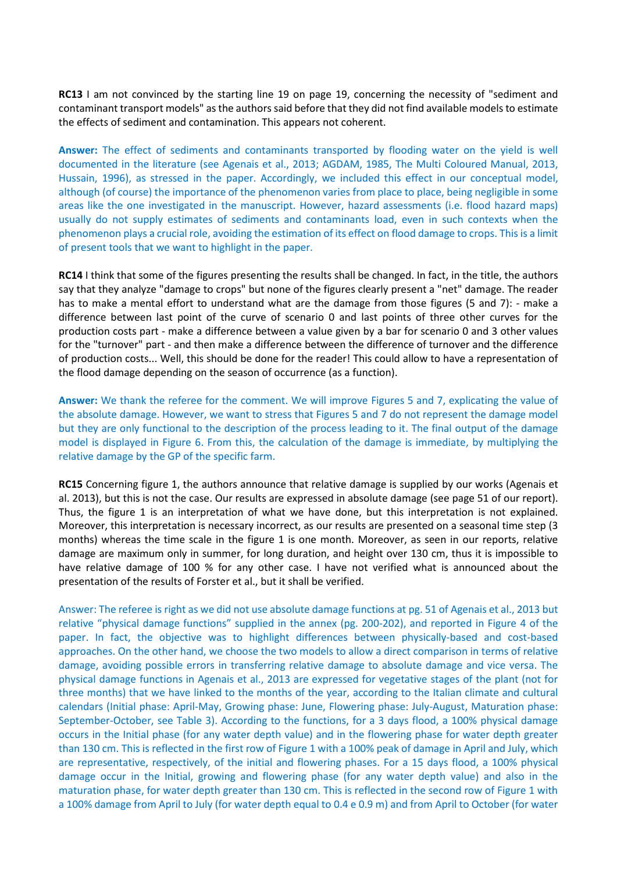**RC13** I am not convinced by the starting line 19 on page 19, concerning the necessity of "sediment and contaminant transport models" as the authors said before that they did not find available models to estimate the effects of sediment and contamination. This appears not coherent.

**Answer:** The effect of sediments and contaminants transported by flooding water on the yield is well documented in the literature (see Agenais et al., 2013; AGDAM, 1985, The Multi Coloured Manual, 2013, Hussain, 1996), as stressed in the paper. Accordingly, we included this effect in our conceptual model, although (of course) the importance of the phenomenon varies from place to place, being negligible in some areas like the one investigated in the manuscript. However, hazard assessments (i.e. flood hazard maps) usually do not supply estimates of sediments and contaminants load, even in such contexts when the phenomenon plays a crucial role, avoiding the estimation of its effect on flood damage to crops. This is a limit of present tools that we want to highlight in the paper.

**RC14** I think that some of the figures presenting the results shall be changed. In fact, in the title, the authors say that they analyze "damage to crops" but none of the figures clearly present a "net" damage. The reader has to make a mental effort to understand what are the damage from those figures (5 and 7): - make a difference between last point of the curve of scenario 0 and last points of three other curves for the production costs part - make a difference between a value given by a bar for scenario 0 and 3 other values for the "turnover" part - and then make a difference between the difference of turnover and the difference of production costs... Well, this should be done for the reader! This could allow to have a representation of the flood damage depending on the season of occurrence (as a function).

**Answer:** We thank the referee for the comment. We will improve Figures 5 and 7, explicating the value of the absolute damage. However, we want to stress that Figures 5 and 7 do not represent the damage model but they are only functional to the description of the process leading to it. The final output of the damage model is displayed in Figure 6. From this, the calculation of the damage is immediate, by multiplying the relative damage by the GP of the specific farm.

**RC15** Concerning figure 1, the authors announce that relative damage is supplied by our works (Agenais et al. 2013), but this is not the case. Our results are expressed in absolute damage (see page 51 of our report). Thus, the figure 1 is an interpretation of what we have done, but this interpretation is not explained. Moreover, this interpretation is necessary incorrect, as our results are presented on a seasonal time step (3 months) whereas the time scale in the figure 1 is one month. Moreover, as seen in our reports, relative damage are maximum only in summer, for long duration, and height over 130 cm, thus it is impossible to have relative damage of 100 % for any other case. I have not verified what is announced about the presentation of the results of Forster et al., but it shall be verified.

Answer: The referee is right as we did not use absolute damage functions at pg. 51 of Agenais et al., 2013 but relative "physical damage functions" supplied in the annex (pg. 200-202), and reported in Figure 4 of the paper. In fact, the objective was to highlight differences between physically-based and cost-based approaches. On the other hand, we choose the two models to allow a direct comparison in terms of relative damage, avoiding possible errors in transferring relative damage to absolute damage and vice versa. The physical damage functions in Agenais et al., 2013 are expressed for vegetative stages of the plant (not for three months) that we have linked to the months of the year, according to the Italian climate and cultural calendars (Initial phase: April-May, Growing phase: June, Flowering phase: July-August, Maturation phase: September-October, see Table 3). According to the functions, for a 3 days flood, a 100% physical damage occurs in the Initial phase (for any water depth value) and in the flowering phase for water depth greater than 130 cm. This is reflected in the first row of Figure 1 with a 100% peak of damage in April and July, which are representative, respectively, of the initial and flowering phases. For a 15 days flood, a 100% physical damage occur in the Initial, growing and flowering phase (for any water depth value) and also in the maturation phase, for water depth greater than 130 cm. This is reflected in the second row of Figure 1 with a 100% damage from April to July (for water depth equal to 0.4 e 0.9 m) and from April to October (for water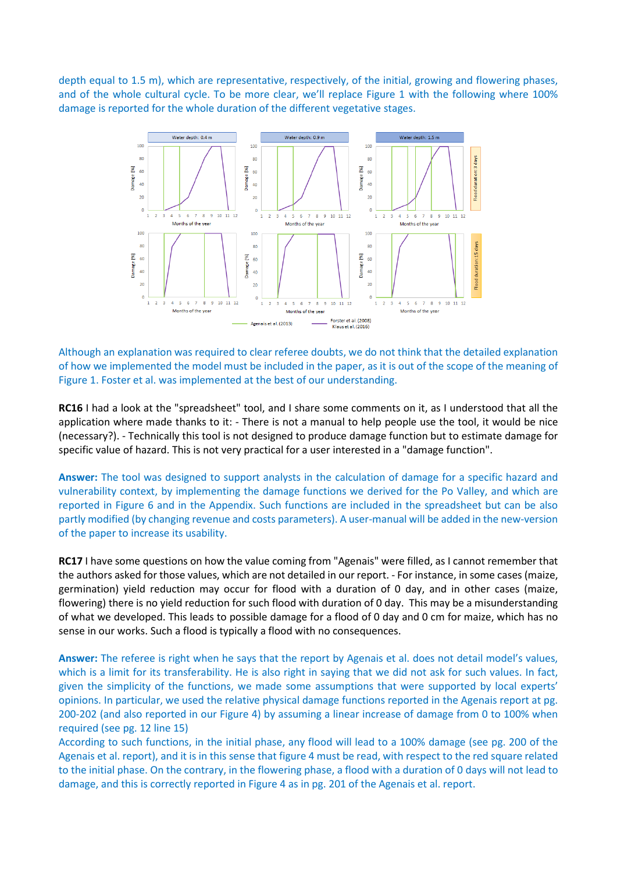depth equal to 1.5 m), which are representative, respectively, of the initial, growing and flowering phases, and of the whole cultural cycle. To be more clear, we'll replace Figure 1 with the following where 100% damage is reported for the whole duration of the different vegetative stages.



Although an explanation was required to clear referee doubts, we do not think that the detailed explanation of how we implemented the model must be included in the paper, as it is out of the scope of the meaning of Figure 1. Foster et al. was implemented at the best of our understanding.

**RC16** I had a look at the "spreadsheet" tool, and I share some comments on it, as I understood that all the application where made thanks to it: - There is not a manual to help people use the tool, it would be nice (necessary?). - Technically this tool is not designed to produce damage function but to estimate damage for specific value of hazard. This is not very practical for a user interested in a "damage function".

**Answer:** The tool was designed to support analysts in the calculation of damage for a specific hazard and vulnerability context, by implementing the damage functions we derived for the Po Valley, and which are reported in Figure 6 and in the Appendix. Such functions are included in the spreadsheet but can be also partly modified (by changing revenue and costs parameters). A user-manual will be added in the new-version of the paper to increase its usability.

**RC17** I have some questions on how the value coming from "Agenais" were filled, as I cannot remember that the authors asked for those values, which are not detailed in our report. - For instance, in some cases (maize, germination) yield reduction may occur for flood with a duration of 0 day, and in other cases (maize, flowering) there is no yield reduction for such flood with duration of 0 day. This may be a misunderstanding of what we developed. This leads to possible damage for a flood of 0 day and 0 cm for maize, which has no sense in our works. Such a flood is typically a flood with no consequences.

**Answer:** The referee is right when he says that the report by Agenais et al. does not detail model's values, which is a limit for its transferability. He is also right in saying that we did not ask for such values. In fact, given the simplicity of the functions, we made some assumptions that were supported by local experts' opinions. In particular, we used the relative physical damage functions reported in the Agenais report at pg. 200-202 (and also reported in our Figure 4) by assuming a linear increase of damage from 0 to 100% when required (see pg. 12 line 15)

According to such functions, in the initial phase, any flood will lead to a 100% damage (see pg. 200 of the Agenais et al. report), and it is in this sense that figure 4 must be read, with respect to the red square related to the initial phase. On the contrary, in the flowering phase, a flood with a duration of 0 days will not lead to damage, and this is correctly reported in Figure 4 as in pg. 201 of the Agenais et al. report.